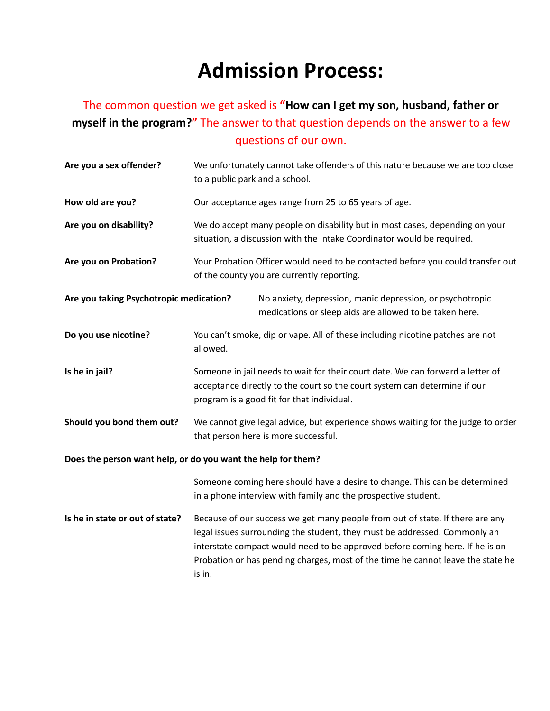## **Admission Process:**

## The common question we get asked is **"How can I get my son, husband, father or myself in the program?"** The answer to that question depends on the answer to a few questions of our own.

| Are you a sex offender?                                      | We unfortunately cannot take offenders of this nature because we are too close<br>to a public park and a school.                                                                                                                                                                                                                        |
|--------------------------------------------------------------|-----------------------------------------------------------------------------------------------------------------------------------------------------------------------------------------------------------------------------------------------------------------------------------------------------------------------------------------|
| How old are you?                                             | Our acceptance ages range from 25 to 65 years of age.                                                                                                                                                                                                                                                                                   |
| Are you on disability?                                       | We do accept many people on disability but in most cases, depending on your<br>situation, a discussion with the Intake Coordinator would be required.                                                                                                                                                                                   |
| Are you on Probation?                                        | Your Probation Officer would need to be contacted before you could transfer out<br>of the county you are currently reporting.                                                                                                                                                                                                           |
| Are you taking Psychotropic medication?                      | No anxiety, depression, manic depression, or psychotropic<br>medications or sleep aids are allowed to be taken here.                                                                                                                                                                                                                    |
| Do you use nicotine?                                         | You can't smoke, dip or vape. All of these including nicotine patches are not<br>allowed.                                                                                                                                                                                                                                               |
| Is he in jail?                                               | Someone in jail needs to wait for their court date. We can forward a letter of<br>acceptance directly to the court so the court system can determine if our<br>program is a good fit for that individual.                                                                                                                               |
| Should you bond them out?                                    | We cannot give legal advice, but experience shows waiting for the judge to order<br>that person here is more successful.                                                                                                                                                                                                                |
| Does the person want help, or do you want the help for them? |                                                                                                                                                                                                                                                                                                                                         |
|                                                              | Someone coming here should have a desire to change. This can be determined<br>in a phone interview with family and the prospective student.                                                                                                                                                                                             |
| Is he in state or out of state?                              | Because of our success we get many people from out of state. If there are any<br>legal issues surrounding the student, they must be addressed. Commonly an<br>interstate compact would need to be approved before coming here. If he is on<br>Probation or has pending charges, most of the time he cannot leave the state he<br>is in. |